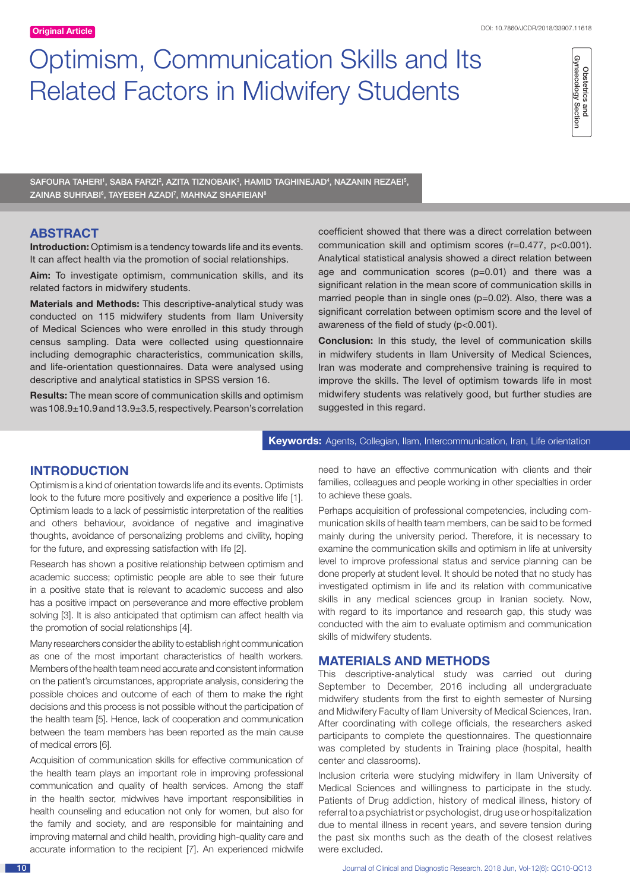# Optimism, Communication Skills and Its Related Factors in Midwifery Students



SAFOURA TAHERI', SABA FARZI<sup>2</sup>, AZITA TIZNOBAIK<sup>3</sup>, HAMID TAGHINEJAD<sup>4</sup>, NAZANIN REZAEI<sup>5</sup>, ZAINAB SUHRABI<sup>6</sup>, TAYEBEH AZADI<sup>7</sup>, MAHNAZ SHAFIEIAN<sup>8</sup>

# **ABSTRACT**

**Introduction:** Optimism is a tendency towards life and its events. It can affect health via the promotion of social relationships.

**Aim:** To investigate optimism, communication skills, and its related factors in midwifery students.

**Materials and Methods:** This descriptive-analytical study was conducted on 115 midwifery students from Ilam University of Medical Sciences who were enrolled in this study through census sampling. Data were collected using questionnaire including demographic characteristics, communication skills, and life-orientation questionnaires. Data were analysed using descriptive and analytical statistics in SPSS version 16.

**Results:** The mean score of communication skills and optimism was 108.9±10.9 and 13.9±3.5, respectively. Pearson's correlation coefficient showed that there was a direct correlation between communication skill and optimism scores (r=0.477, p<0.001). Analytical statistical analysis showed a direct relation between age and communication scores (p=0.01) and there was a significant relation in the mean score of communication skills in married people than in single ones (p=0.02). Also, there was a significant correlation between optimism score and the level of awareness of the field of study (p<0.001).

**Conclusion:** In this study, the level of communication skills in midwifery students in Ilam University of Medical Sciences, Iran was moderate and comprehensive training is required to improve the skills. The level of optimism towards life in most midwifery students was relatively good, but further studies are suggested in this regard.

#### **Keywords:** Agents, Collegian, Ilam, Intercommunication, Iran, Life orientation

# **INTRODUCTION**

Optimism is a kind of orientation towards life and its events. Optimists look to the future more positively and experience a positive life [1]. Optimism leads to a lack of pessimistic interpretation of the realities and others behaviour, avoidance of negative and imaginative thoughts, avoidance of personalizing problems and civility, hoping for the future, and expressing satisfaction with life [2].

Research has shown a positive relationship between optimism and academic success; optimistic people are able to see their future in a positive state that is relevant to academic success and also has a positive impact on perseverance and more effective problem solving [3]. It is also anticipated that optimism can affect health via the promotion of social relationships [4].

Many researchers consider the ability to establish right communication as one of the most important characteristics of health workers. Members of the health team need accurate and consistent information on the patient's circumstances, appropriate analysis, considering the possible choices and outcome of each of them to make the right decisions and this process is not possible without the participation of the health team [5]. Hence, lack of cooperation and communication between the team members has been reported as the main cause of medical errors [6].

Acquisition of communication skills for effective communication of the health team plays an important role in improving professional communication and quality of health services. Among the staff in the health sector, midwives have important responsibilities in health counseling and education not only for women, but also for the family and society, and are responsible for maintaining and improving maternal and child health, providing high-quality care and accurate information to the recipient [7]. An experienced midwife need to have an effective communication with clients and their families, colleagues and people working in other specialties in order to achieve these goals.

Perhaps acquisition of professional competencies, including communication skills of health team members, can be said to be formed mainly during the university period. Therefore, it is necessary to examine the communication skills and optimism in life at university level to improve professional status and service planning can be done properly at student level. It should be noted that no study has investigated optimism in life and its relation with communicative skills in any medical sciences group in Iranian society. Now, with regard to its importance and research gap, this study was conducted with the aim to evaluate optimism and communication skills of midwifery students.

### **MATERIALS AND METHODS**

This descriptive-analytical study was carried out during September to December, 2016 including all undergraduate midwifery students from the first to eighth semester of Nursing and Midwifery Faculty of Ilam University of Medical Sciences, Iran. After coordinating with college officials, the researchers asked participants to complete the questionnaires. The questionnaire was completed by students in Training place (hospital, health center and classrooms).

Inclusion criteria were studying midwifery in Ilam University of Medical Sciences and willingness to participate in the study. Patients of Drug addiction, history of medical illness, history of referral to a psychiatrist or psychologist, drug use or hospitalization due to mental illness in recent years, and severe tension during the past six months such as the death of the closest relatives were excluded.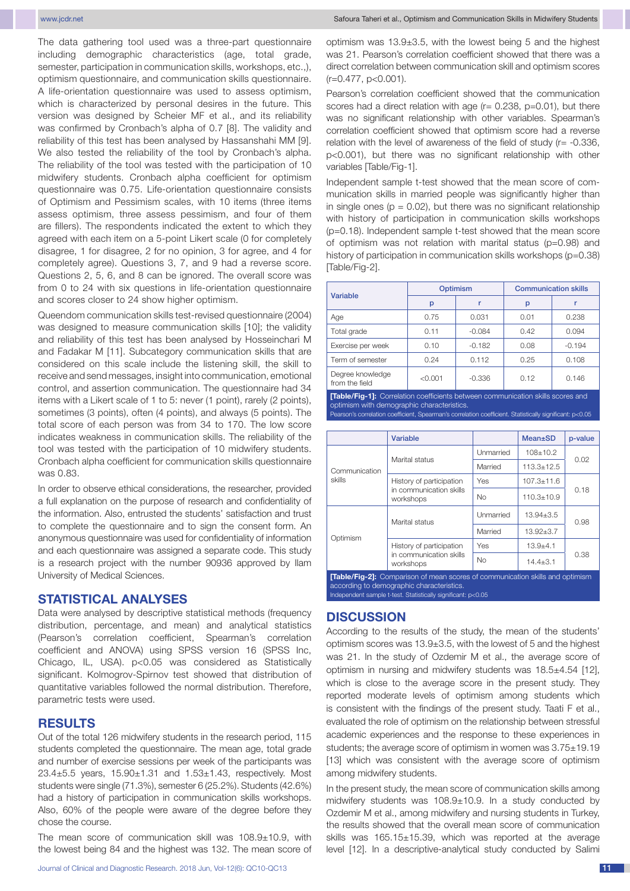The data gathering tool used was a three-part questionnaire including demographic characteristics (age, total grade, semester, participation in communication skills, workshops, etc.,), optimism questionnaire, and communication skills questionnaire. A life-orientation questionnaire was used to assess optimism, which is characterized by personal desires in the future. This version was designed by Scheier MF et al., and its reliability was confirmed by Cronbach's alpha of 0.7 [8]. The validity and reliability of this test has been analysed by Hassanshahi MM [9]. We also tested the reliability of the tool by Cronbach's alpha. The reliability of the tool was tested with the participation of 10 midwifery students. Cronbach alpha coefficient for optimism questionnaire was 0.75. Life-orientation questionnaire consists of Optimism and Pessimism scales, with 10 items (three items assess optimism, three assess pessimism, and four of them are fillers). The respondents indicated the extent to which they agreed with each item on a 5-point Likert scale (0 for completely disagree, 1 for disagree, 2 for no opinion, 3 for agree, and 4 for completely agree). Questions 3, 7, and 9 had a reverse score. Questions 2, 5, 6, and 8 can be ignored. The overall score was from 0 to 24 with six questions in life-orientation questionnaire and scores closer to 24 show higher optimism.

Queendom communication skills test-revised questionnaire (2004) was designed to measure communication skills [10]; the validity and reliability of this test has been analysed by Hosseinchari M and Fadakar M [11]. Subcategory communication skills that are considered on this scale include the listening skill, the skill to receive and send messages, insight into communication, emotional control, and assertion communication. The questionnaire had 34 items with a Likert scale of 1 to 5: never (1 point), rarely (2 points), sometimes (3 points), often (4 points), and always (5 points). The total score of each person was from 34 to 170. The low score indicates weakness in communication skills. The reliability of the tool was tested with the participation of 10 midwifery students. Cronbach alpha coefficient for communication skills questionnaire was 0.83.

In order to observe ethical considerations, the researcher, provided a full explanation on the purpose of research and confidentiality of the information. Also, entrusted the students' satisfaction and trust to complete the questionnaire and to sign the consent form. An anonymous questionnaire was used for confidentiality of information and each questionnaire was assigned a separate code. This study is a research project with the number 90936 approved by Ilam University of Medical Sciences.

### **STATISTICAL ANALYSES**

Data were analysed by descriptive statistical methods (frequency distribution, percentage, and mean) and analytical statistics (Pearson's correlation coefficient, Spearman's correlation coefficient and ANOVA) using SPSS version 16 (SPSS Inc, Chicago, IL, USA). p<0.05 was considered as Statistically significant. Kolmogrov-Spirnov test showed that distribution of quantitative variables followed the normal distribution. Therefore, parametric tests were used.

### **RESULTS**

Out of the total 126 midwifery students in the research period, 115 students completed the questionnaire. The mean age, total grade and number of exercise sessions per week of the participants was 23.4±5.5 years, 15.90±1.31 and 1.53±1.43, respectively. Most students were single (71.3%), semester 6 (25.2%). Students (42.6%) had a history of participation in communication skills workshops. Also, 60% of the people were aware of the degree before they chose the course.

The mean score of communication skill was 108.9±10.9, with the lowest being 84 and the highest was 132. The mean score of optimism was 13.9±3.5, with the lowest being 5 and the highest was 21. Pearson's correlation coefficient showed that there was a direct correlation between communication skill and optimism scores (r=0.477, p<0.001).

Pearson's correlation coefficient showed that the communication scores had a direct relation with age  $(r= 0.238, p=0.01)$ , but there was no significant relationship with other variables. Spearman's correlation coefficient showed that optimism score had a reverse relation with the level of awareness of the field of study  $(r= -0.336, r= -0.336)$ p<0.001), but there was no significant relationship with other variables [Table/Fig-1].

Independent sample t-test showed that the mean score of communication skills in married people was significantly higher than in single ones ( $p = 0.02$ ), but there was no significant relationship with history of participation in communication skills workshops (p=0.18). Independent sample t-test showed that the mean score of optimism was not relation with marital status (p=0.98) and history of participation in communication skills workshops (p=0.38) [Table/Fig-2].

| <b>Variable</b>                                                                        | <b>Optimism</b> |          | <b>Communication skills</b> |          |  |  |
|----------------------------------------------------------------------------------------|-----------------|----------|-----------------------------|----------|--|--|
|                                                                                        | p               |          | p                           |          |  |  |
| Age                                                                                    | 0.75            | 0.031    | 0.01                        | 0.238    |  |  |
| Total grade                                                                            | 0.11            | $-0.084$ | 0.42                        | 0.094    |  |  |
| Exercise per week                                                                      | 0.10            | $-0.182$ | 0.08                        | $-0.194$ |  |  |
| Term of semester                                                                       | 0.24            | 0.112    | 0.25                        | 0.108    |  |  |
| Degree knowledge<br>from the field                                                     | < 0.001         | $-0.336$ | 0.12                        | 0.146    |  |  |
| <b>[Table/Fig-1]:</b> Correlation coefficients between communication skills scores and |                 |          |                             |          |  |  |

optimism with demographic characteristics. arson's correlation coefficient, Spearman's correlation coefficient. Statistically significant: p<0.05

|                                                                                      | Variable                                                         |            | <b>Mean</b> ±SD  | p-value |  |  |
|--------------------------------------------------------------------------------------|------------------------------------------------------------------|------------|------------------|---------|--|--|
| Communication<br>skills                                                              | Marital status                                                   | Unmarried  | $108 \pm 10.2$   | 0.02    |  |  |
|                                                                                      |                                                                  | Married    | $113.3 \pm 12.5$ |         |  |  |
|                                                                                      | History of participation<br>in communication skills<br>workshops | Yes        | $107.3 \pm 11.6$ | 0.18    |  |  |
|                                                                                      |                                                                  | <b>No</b>  | $110.3 \pm 10.9$ |         |  |  |
| Optimism                                                                             | Marital status                                                   | Unmarried  | $13.94 \pm 3.5$  | 0.98    |  |  |
|                                                                                      |                                                                  | Married    | $13.92 \pm 3.7$  |         |  |  |
|                                                                                      | History of participation                                         | <b>Yes</b> | $13.9 + 4.1$     | 0.38    |  |  |
|                                                                                      | in communication skills<br>workshops                             | <b>No</b>  | $14.4 \pm 3.1$   |         |  |  |
| <b>[Table/Fig-2]:</b> Comparison of mean scores of communication skills and optimism |                                                                  |            |                  |         |  |  |

according to demographic characteristics. Independent sample t-test. Statistically significant: p<0.05

#### **DISCUSSION**

According to the results of the study, the mean of the students' optimism scores was 13.9±3.5, with the lowest of 5 and the highest was 21. In the study of Ozdemir M et al., the average score of optimism in nursing and midwifery students was 18.5±4.54 [12], which is close to the average score in the present study. They reported moderate levels of optimism among students which is consistent with the findings of the present study. Taati F et al., evaluated the role of optimism on the relationship between stressful academic experiences and the response to these experiences in students; the average score of optimism in women was 3.75±19.19 [13] which was consistent with the average score of optimism among midwifery students.

In the present study, the mean score of communication skills among midwifery students was 108.9±10.9. In a study conducted by Ozdemir M et al., among midwifery and nursing students in Turkey, the results showed that the overall mean score of communication skills was 165.15±15.39, which was reported at the average level [12]. In a descriptive-analytical study conducted by Salimi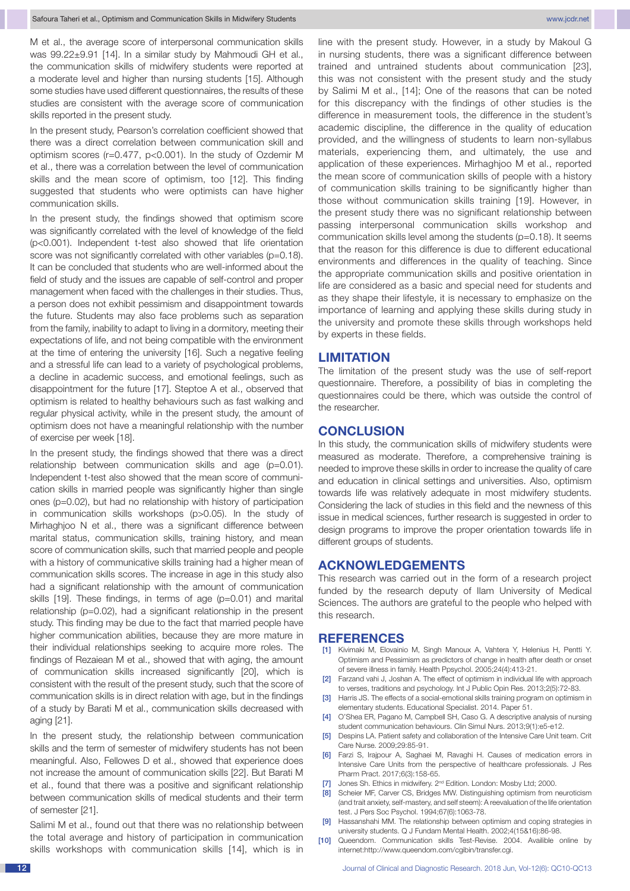M et al., the average score of interpersonal communication skills was 99.22±9.91 [14]. In a similar study by Mahmoudi GH et al., the communication skills of midwifery students were reported at a moderate level and higher than nursing students [15]. Although some studies have used different questionnaires, the results of these studies are consistent with the average score of communication skills reported in the present study.

In the present study, Pearson's correlation coefficient showed that there was a direct correlation between communication skill and optimism scores (r=0.477, p<0.001). In the study of Ozdemir M et al., there was a correlation between the level of communication skills and the mean score of optimism, too [12]. This finding suggested that students who were optimists can have higher communication skills.

In the present study, the findings showed that optimism score was significantly correlated with the level of knowledge of the field (p<0.001). Independent t-test also showed that life orientation score was not significantly correlated with other variables (p=0.18). It can be concluded that students who are well-informed about the field of study and the issues are capable of self-control and proper management when faced with the challenges in their studies. Thus, a person does not exhibit pessimism and disappointment towards the future. Students may also face problems such as separation from the family, inability to adapt to living in a dormitory, meeting their expectations of life, and not being compatible with the environment at the time of entering the university [16]. Such a negative feeling and a stressful life can lead to a variety of psychological problems, a decline in academic success, and emotional feelings, such as disappointment for the future [17]. Steptoe A et al., observed that optimism is related to healthy behaviours such as fast walking and regular physical activity, while in the present study, the amount of optimism does not have a meaningful relationship with the number of exercise per week [18].

In the present study, the findings showed that there was a direct relationship between communication skills and age (p=0.01). Independent t-test also showed that the mean score of communication skills in married people was significantly higher than single ones (p=0.02), but had no relationship with history of participation in communication skills workshops (p>0.05). In the study of Mirhaghjoo N et al., there was a significant difference between marital status, communication skills, training history, and mean score of communication skills, such that married people and people with a history of communicative skills training had a higher mean of communication skills scores. The increase in age in this study also had a significant relationship with the amount of communication skills [19]. These findings, in terms of age (p=0.01) and marital relationship (p=0.02), had a significant relationship in the present study. This finding may be due to the fact that married people have higher communication abilities, because they are more mature in their individual relationships seeking to acquire more roles. The findings of Rezaiean M et al., showed that with aging, the amount of communication skills increased significantly [20], which is consistent with the result of the present study, such that the score of communication skills is in direct relation with age, but in the findings of a study by Barati M et al., communication skills decreased with aging [21].

In the present study, the relationship between communication skills and the term of semester of midwifery students has not been meaningful. Also, Fellowes D et al., showed that experience does not increase the amount of communication skills [22]. But Barati M et al., found that there was a positive and significant relationship between communication skills of medical students and their term of semester [21].

Salimi M et al., found out that there was no relationship between the total average and history of participation in communication skills workshops with communication skills [14], which is in line with the present study. However, in a study by Makoul G in nursing students, there was a significant difference between trained and untrained students about communication [23], this was not consistent with the present study and the study by Salimi M et al., [14]; One of the reasons that can be noted for this discrepancy with the findings of other studies is the difference in measurement tools, the difference in the student's academic discipline, the difference in the quality of education provided, and the willingness of students to learn non-syllabus materials, experiencing them, and ultimately, the use and application of these experiences. Mirhaghjoo M et al., reported the mean score of communication skills of people with a history of communication skills training to be significantly higher than those without communication skills training [19]. However, in the present study there was no significant relationship between passing interpersonal communication skills workshop and communication skills level among the students (p=0.18). It seems that the reason for this difference is due to different educational environments and differences in the quality of teaching. Since the appropriate communication skills and positive orientation in life are considered as a basic and special need for students and as they shape their lifestyle, it is necessary to emphasize on the importance of learning and applying these skills during study in the university and promote these skills through workshops held by experts in these fields.

## **LIMITATION**

The limitation of the present study was the use of self-report questionnaire. Therefore, a possibility of bias in completing the questionnaires could be there, which was outside the control of the researcher.

### **CONCLUSION**

In this study, the communication skills of midwifery students were measured as moderate. Therefore, a comprehensive training is needed to improve these skills in order to increase the quality of care and education in clinical settings and universities. Also, optimism towards life was relatively adequate in most midwifery students. Considering the lack of studies in this field and the newness of this issue in medical sciences, further research is suggested in order to design programs to improve the proper orientation towards life in different groups of students.

# **Acknowledgements**

This research was carried out in the form of a research project funded by the research deputy of Ilam University of Medical Sciences. The authors are grateful to the people who helped with this research.

#### **REFERENCES**

- [1] Kivimaki M, Elovainio M, Singh Manoux A, Vahtera Y, Helenius H, Pentti Y. Optimism and Pessimism as predictors of change in health after death or onset of severe illness in family. Health Ppsychol. 2005;24(4):413-21.
- [2] Farzand vahi J, Joshan A. The effect of optimism in individual life with approach to verses, traditions and psychology. Int J Public Opin Res. 2013;2(5):72-83.
- [3] Harris JS. The effects of a social-emotional skills training program on optimism in elementary students. Educational Specialist. 2014. Paper 51.
- [4] O'Shea ER, Pagano M, Campbell SH, Caso G. A descriptive analysis of nursing student communication behaviours. Clin Simul Nurs. 2013;9(1):e5-e12.
- [5] Despins LA. Patient safety and collaboration of the Intensive Care Unit team. Crit Care Nurse. 2009;29:85-91.
- [6] Farzi S, Irajpour A, Saghaei M, Ravaghi H. Causes of medication errors in Intensive Care Units from the perspective of healthcare professionals. J Res Pharm Pract. 2017;6(3):158-65.
- [7] Jones Sh. Ethics in midwifery. 2<sup>nd</sup> Edition. London: Mosby Ltd; 2000.
- [8] Scheier MF, Carver CS, Bridges MW. Distinguishing optimism from neuroticism (and trait anxiety, self-mastery, and self steem): A reevaluation of the life orientation test. J Pers Soc Psychol. 1994;67(6):1063-78.
- Hassanshahi MM. The relationship between optimism and coping strategies in university students. Q J Fundam Mental Health. 2002;4(15&16):86-98.
- [10] Queendom. Communication skills Test-Revise. 2004. Availible online by internet:http://www.queendom.com/cgibin/transfer.cgi.